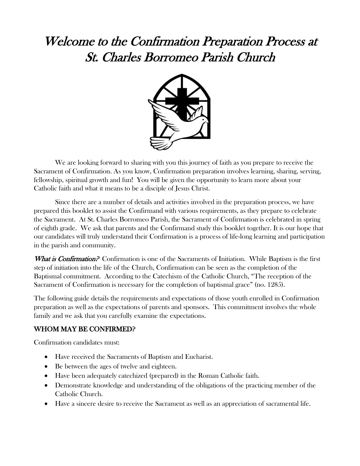# Welcome to the Confirmation Preparation Process at St. Charles Borromeo Parish Church



We are looking forward to sharing with you this journey of faith as you prepare to receive the Sacrament of Confirmation. As you know, Confirmation preparation involves learning, sharing, serving, fellowship, spiritual growth and fun! You will be given the opportunity to learn more about your Catholic faith and what it means to be a disciple of Jesus Christ.

Since there are a number of details and activities involved in the preparation process, we have prepared this booklet to assist the Confirmand with various requirements, as they prepare to celebrate the Sacrament. At St. Charles Borromeo Parish, the Sacrament of Confirmation is celebrated in spring of eighth grade. We ask that parents and the Confirmand study this booklet together. It is our hope that our candidates will truly understand their Confirmation is a process of life-long learning and participation in the parish and community.

What is Confirmation? Confirmation is one of the Sacraments of Initiation. While Baptism is the first step of initiation into the life of the Church, Confirmation can be seen as the completion of the Baptismal commitment. According to the Catechism of the Catholic Church, "The reception of the Sacrament of Confirmation is necessary for the completion of baptismal grace" (no. 1285).

The following guide details the requirements and expectations of those youth enrolled in Confirmation preparation as well as the expectations of parents and sponsors. This commitment involves the whole family and we ask that you carefully examine the expectations.

## WHOM MAY BE CONFIRMED?

Confirmation candidates must:

- Have received the Sacraments of Baptism and Eucharist.
- Be between the ages of twelve and eighteen.
- Have been adequately catechized (prepared) in the Roman Catholic faith.
- Demonstrate knowledge and understanding of the obligations of the practicing member of the Catholic Church.
- Have a sincere desire to receive the Sacrament as well as an appreciation of sacramental life.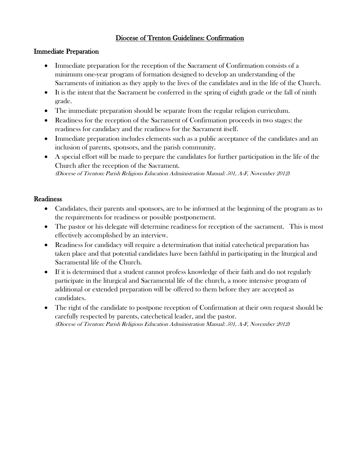## Diocese of Trenton Guidelines: Confirmation

#### Immediate Preparation

- Immediate preparation for the reception of the Sacrament of Confirmation consists of a minimum one-year program of formation designed to develop an understanding of the Sacraments of initiation as they apply to the lives of the candidates and in the life of the Church.
- It is the intent that the Sacrament be conferred in the spring of eighth grade or the fall of ninth grade.
- The immediate preparation should be separate from the regular religion curriculum.
- Readiness for the reception of the Sacrament of Confirmation proceeds in two stages: the readiness for candidacy and the readiness for the Sacrament itself.
- Immediate preparation includes elements such as a public acceptance of the candidates and an inclusion of parents, sponsors, and the parish community.
- A special effort will be made to prepare the candidates for further participation in the life of the Church after the reception of the Sacrament. (Diocese of Trenton: Parish Religious Education Administration Manual: 501, A-F, November 2012)

#### **Readiness**

- Candidates, their parents and sponsors, are to be informed at the beginning of the program as to the requirements for readiness or possible postponement.
- The pastor or his delegate will determine readiness for reception of the sacrament. This is most effectively accomplished by an interview.
- Readiness for candidacy will require a determination that initial catechetical preparation has taken place and that potential candidates have been faithful in participating in the liturgical and Sacramental life of the Church.
- If it is determined that a student cannot profess knowledge of their faith and do not regularly participate in the liturgical and Sacramental life of the church, a more intensive program of additional or extended preparation will be offered to them before they are accepted as candidates.
- The right of the candidate to postpone reception of Confirmation at their own request should be carefully respected by parents, catechetical leader, and the pastor. (Diocese of Trenton: Parish Religious Education Administration Manual: 501, A-F, November 2012)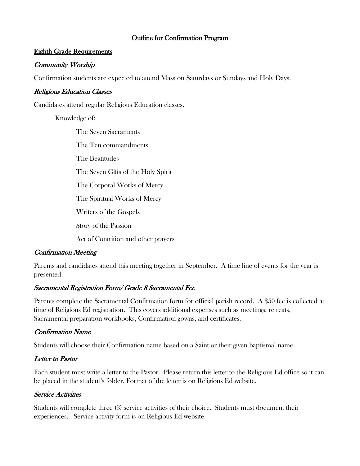#### Outline for Confirmation Program

#### Eighth Grade Requirements

#### Community Worship

Confirmation students are expected to attend Mass on Saturdays or Sundays and Holy Days.

#### Religious Education Classes

Candidates attend regular Religious Education classes.

Knowledge of:

The Seven Sacraments The Ten commandments The Beatitudes The Seven Gifts of the Holy Spirit The Corporal Works of Mercy The Spiritual Works of Mercy Writers of the Gospels Story of the Passion Act of Contrition and other prayers

## Confirmation Meeting

Parents and candidates attend this meeting together in September. A time line of events for the year is presented.

## Sacramental Registration Form/ Grade 8 Sacramental Fee

Parents complete the Sacramental Confirmation form for official parish record. A \$50 fee is collected at time of Religious Ed registration. This covers additional expenses such as meetings, retreats, Sacramental preparation workbooks, Confirmation gowns, and certificates.

## Confirmation Name

Students will choose their Confirmation name based on a Saint or their given baptismal name.

## Letter to Pastor

Each student must write a letter to the Pastor. Please return this letter to the Religious Ed office so it can be placed in the student's folder. Format of the letter is on Religious Ed website.

## Service Activities

Students will complete three (3) service activities of their choice. Students must document their experiences. Service activity form is on Religious Ed website.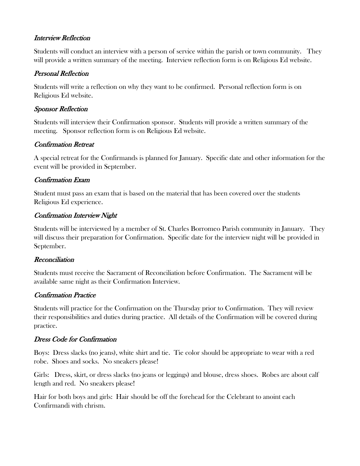## Interview Reflection

Students will conduct an interview with a person of service within the parish or town community. They will provide a written summary of the meeting. Interview reflection form is on Religious Ed website.

## Personal Reflection

Students will write a reflection on why they want to be confirmed. Personal reflection form is on Religious Ed website.

## Sponsor Reflection

Students will interview their Confirmation sponsor. Students will provide a written summary of the meeting. Sponsor reflection form is on Religious Ed website.

# Confirmation Retreat

A special retreat for the Confirmands is planned for January. Specific date and other information for the event will be provided in September.

# Confirmation Exam

Student must pass an exam that is based on the material that has been covered over the students Religious Ed experience.

## Confirmation Interview Night

Students will be interviewed by a member of St. Charles Borromeo Parish community in January. They will discuss their preparation for Confirmation. Specific date for the interview night will be provided in September.

## Reconciliation

Students must receive the Sacrament of Reconciliation before Confirmation. The Sacrament will be available same night as their Confirmation Interview.

# Confirmation Practice

Students will practice for the Confirmation on the Thursday prior to Confirmation. They will review their responsibilities and duties during practice. All details of the Confirmation will be covered during practice.

# Dress Code for Confirmation

Boys: Dress slacks (no jeans), white shirt and tie. Tie color should be appropriate to wear with a red robe. Shoes and socks. No sneakers please!

Girls: Dress, skirt, or dress slacks (no jeans or leggings) and blouse, dress shoes. Robes are about calf length and red. No sneakers please!

Hair for both boys and girls: Hair should be off the forehead for the Celebrant to anoint each Confirmandi with chrism.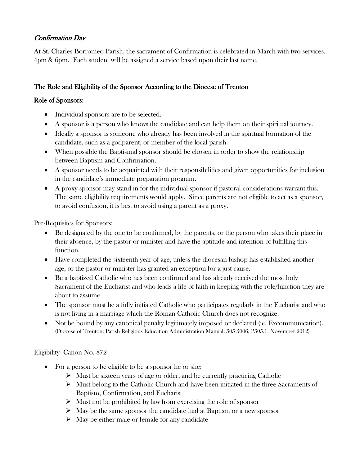# Confirmation Day

At St. Charles Borromeo Parish, the sacrament of Confirmation is celebrated in March with two services, 4pm & 6pm. Each student will be assigned a service based upon their last name.

# The Role and Eligibility of the Sponsor According to the Diocese of Trenton

## Role of Sponsors:

- Individual sponsors are to be selected.
- A sponsor is a person who knows the candidate and can help them on their spiritual journey.
- Ideally a sponsor is someone who already has been involved in the spiritual formation of the candidate, such as a godparent, or member of the local parish.
- When possible the Baptismal sponsor should be chosen in order to show the relationship between Baptism and Confirmation.
- A sponsor needs to be acquainted with their responsibilities and given opportunities for inclusion in the candidate's immediate preparation program.
- A proxy sponsor may stand in for the individual sponsor if pastoral considerations warrant this. The same eligibility requirements would apply. Since parents are not eligible to act as a sponsor, to avoid confusion, it is best to avoid using a parent as a proxy.

Pre-Requisites for Sponsors:

- Be designated by the one to be confirmed, by the parents, or the person who takes their place in their absence, by the pastor or minister and have the aptitude and intention of fulfilling this function.
- Have completed the sixteenth year of age, unless the diocesan bishop has established another age, or the pastor or minister has granted an exception for a just cause.
- Be a baptized Catholic who has been confirmed and has already received the most holy Sacrament of the Eucharist and who leads a life of faith in keeping with the role/function they are about to assume.
- The sponsor must be a fully initiated Catholic who participates regularly in the Eucharist and who is not living in a marriage which the Roman Catholic Church does not recognize.
- Not be bound by any canonical penalty legitimately imposed or declared (ie. Excommunication). (Diocese of Trenton: Parish Religious Education Administration Manual: 505 5006, P505.1, November 2012)

## Eligibility- Canon No. 872

- For a person to be eligible to be a sponsor he or she:
	- $\triangleright$  Must be sixteen years of age or older, and be currently practicing Catholic
	- $\triangleright$  Must belong to the Catholic Church and have been initiated in the three Sacraments of Baptism, Confirmation, and Eucharist
	- $\triangleright$  Must not be prohibited by law from exercising the role of sponsor
	- $\triangleright$  May be the same sponsor the candidate had at Baptism or a new sponsor
	- $\triangleright$  May be either male or female for any candidate